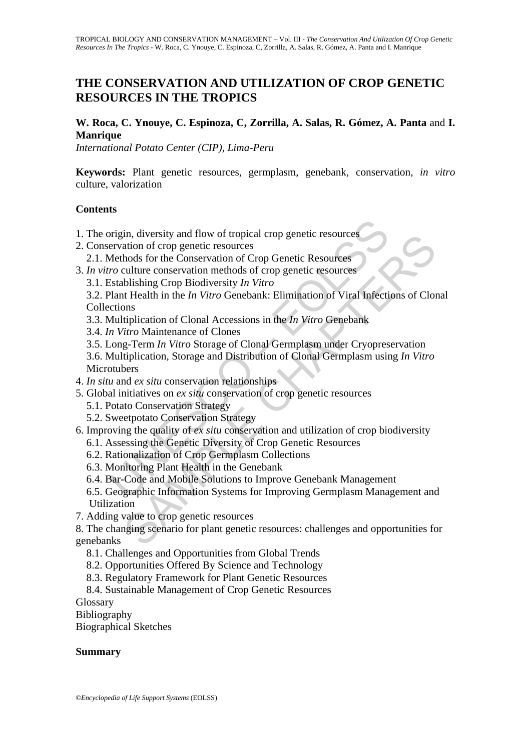# **THE CONSERVATION AND UTILIZATION OF CROP GENETIC RESOURCES IN THE TROPICS**

## **W. Roca, C. Ynouye, C. Espinoza, C, Zorrilla, A. Salas, R. Gómez, A. Panta** and **I. Manrique**

*International Potato Center (CIP), Lima-Peru*

**Keywords:** Plant genetic resources, germplasm, genebank, conservation, *in vitro*  culture, valorization

### **Contents**

- 1. The origin, diversity and flow of tropical crop genetic resources
- 2. Conservation of crop genetic resources
	- 2.1. Methods for the Conservation of Crop Genetic Resources
- 3. *In vitro* culture conservation methods of crop genetic resources
	- 3.1. Establishing Crop Biodiversity *In Vitro*
- origin, diversity and flow of tropical crop genetic resources<br>
ervation of crop genetic resources<br>
Methods for the Conservation of Crop Genetic Resources<br>
ro culture conservation methods of crop genetic resources<br>
Establis m, aversiy and How or topical reporters<br>ation of crop genetic resources<br>ation of crop genetic resources<br>hods for the Conservation of Crop Genetic Resources<br>bloshing Crop Biodiversity In Vitro<br>at Helalth in the In Vitro Gen 3.2. Plant Health in the *In Vitro* Genebank: Elimination of Viral Infections of Clonal Collections
	- 3.3. Multiplication of Clonal Accessions in the *In Vitro* Genebank
	- 3.4. *In Vitro* Maintenance of Clones
	- 3.5. Long-Term *In Vitro* Storage of Clonal Germplasm under Cryopreservation
	- 3.6. Multiplication, Storage and Distribution of Clonal Germplasm using *In Vitro* **Microtubers**
- 4. *In situ* and *ex situ* conservation relationships
- 5. Global initiatives on *ex situ* conservation of crop genetic resources
	- 5.1. Potato Conservation Strategy
	- 5.2. Sweetpotato Conservation Strategy
- 6. Improving the quality of *ex situ* conservation and utilization of crop biodiversity
	- 6.1. Assessing the Genetic Diversity of Crop Genetic Resources
	- 6.2. Rationalization of Crop Germplasm Collections
	- 6.3. Monitoring Plant Health in the Genebank
	- 6.4. Bar-Code and Mobile Solutions to Improve Genebank Management
	- 6.5. Geographic Information Systems for Improving Germplasm Management and Utilization
- 7. Adding value to crop genetic resources

8. The changing scenario for plant genetic resources: challenges and opportunities for genebanks

- 8.1. Challenges and Opportunities from Global Trends
- 8.2. Opportunities Offered By Science and Technology
- 8.3. Regulatory Framework for Plant Genetic Resources
- 8.4. Sustainable Management of Crop Genetic Resources

**Glossary** 

Bibliography

Biographical Sketches

#### **Summary**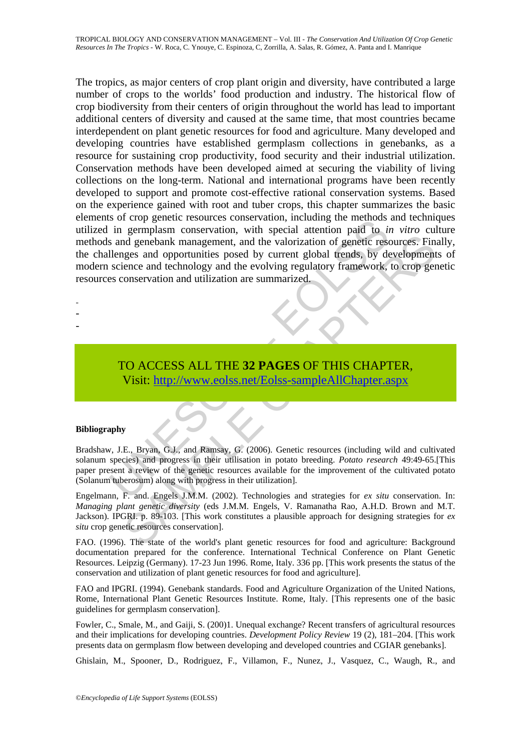So Front Essources conservation, including the intermolastical attention and to in a generalism conservation, with special attention paid to *in* sin and genebank management, and the valorization of genetic resellenges and Somethean Management, and the valorization of genetic resources. Finally genebrank management, and the valorization of genetic resources. Finally gigs and opportunities posed by current global trends, by development ence a The tropics, as major centers of crop plant origin and diversity, have contributed a large number of crops to the worlds' food production and industry. The historical flow of crop biodiversity from their centers of origin throughout the world has lead to important additional centers of diversity and caused at the same time, that most countries became interdependent on plant genetic resources for food and agriculture. Many developed and developing countries have established germplasm collections in genebanks, as a resource for sustaining crop productivity, food security and their industrial utilization. Conservation methods have been developed aimed at securing the viability of living collections on the long-term. National and international programs have been recently developed to support and promote cost-effective rational conservation systems. Based on the experience gained with root and tuber crops, this chapter summarizes the basic elements of crop genetic resources conservation, including the methods and techniques utilized in germplasm conservation, with special attention paid to *in vitro* culture methods and genebank management, and the valorization of genetic resources. Finally, the challenges and opportunities posed by current global trends, by developments of modern science and technology and the evolving regulatory framework, to crop genetic resources conservation and utilization are summarized.

- -
- -
- -
- TO ACCESS ALL THE **32 PAGES** OF THIS CHAPTER, Visit: http://www.eolss.net/Eolss-sampleAllChapter.aspx

#### **Bibliography**

Bradshaw, J.E., Bryan, G.J., and Ramsay, G. (2006). Genetic resources (including wild and cultivated solanum species) and progress in their utilisation in potato breeding. *Potato research* 49:49-65.[This paper present a review of the genetic resources available for the improvement of the cultivated potato (Solanum tuberosum) along with progress in their utilization].

Engelmann, F. and. Engels J.M.M. (2002). Technologies and strategies for *ex situ* conservation. In: *Managing plant genetic diversity* (eds J.M.M. Engels, V. Ramanatha Rao, A.H.D. Brown and M.T. Jackson). IPGRI. p. 89-103. [This work constitutes a plausible approach for designing strategies for *ex situ* crop genetic resources conservation].

FAO. (1996). The state of the world's plant genetic resources for food and agriculture: Background documentation prepared for the conference. International Technical Conference on Plant Genetic Resources. Leipzig (Germany). 17-23 Jun 1996. Rome, Italy. 336 pp. [This work presents the status of the conservation and utilization of plant genetic resources for food and agriculture].

FAO and IPGRI. (1994). Genebank standards. Food and Agriculture Organization of the United Nations, Rome, International Plant Genetic Resources Institute. Rome, Italy. [This represents one of the basic guidelines for germplasm conservation].

Fowler, C., Smale, M., and Gaiji, S. (200)1. Unequal exchange? Recent transfers of agricultural resources and their implications for developing countries. *Development Policy Review* 19 (2), 181–204. [This work presents data on germplasm flow between developing and developed countries and CGIAR genebanks].

Ghislain, M., Spooner, D., Rodriguez, F., Villamon, F., Nunez, J., Vasquez, C., Waugh, R., and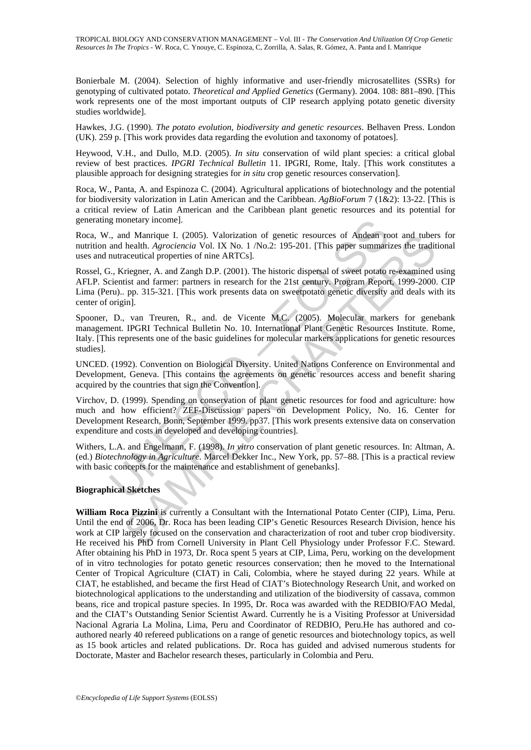Bonierbale M. (2004). Selection of highly informative and user-friendly microsatellites (SSRs) for genotyping of cultivated potato. *Theoretical and Applied Genetics* (Germany). 2004. 108: 881–890. [This work represents one of the most important outputs of CIP research applying potato genetic diversity studies worldwide].

Hawkes, J.G. (1990). *The potato evolution, biodiversity and genetic resources*. Belhaven Press. London (UK). 259 p. [This work provides data regarding the evolution and taxonomy of potatoes].

Heywood, V.H., and Dullo, M.D. (2005). *In situ* conservation of wild plant species: a critical global review of best practices. *IPGRI Technical Bulletin* 11. IPGRI, Rome, Italy. [This work constitutes a plausible approach for designing strategies for *in situ* crop genetic resources conservation].

Roca, W., Panta, A. and Espinoza C. (2004). Agricultural applications of biotechnology and the potential for biodiversity valorization in Latin American and the Caribbean. *AgBioForum* 7 (1&2): 13-22. [This is a critical review of Latin American and the Caribbean plant genetic resources and its potential for generating monetary income].

Roca, W., and Manrique I. (2005). Valorization of genetic resources of Andean root and tubers for nutrition and health. *Agrociencia* Vol. IX No. 1 /No.2: 195-201. [This paper summarizes the traditional uses and nutraceutical properties of nine ARTCs].

g monetary income].<br>
., and Manrique I. (2005). Valorization of genetic resources of Andean role and health. *Agrociencia* Vol. IX No. 1 /No.2: 195-201. [This paper summari and health. *Agrociencia* Vol. IX No. 1 /No.2: 19 Rossel, G., Kriegner, A. and Zangh D.P. (2001). The historic dispersal of sweet potato re-examined using AFLP. Scientist and farmer: partners in research for the 21st century. Program Report, 1999-2000. CIP Lima (Peru).. pp. 315-321. [This work presents data on sweetpotato genetic diversity and deals with its center of origin].

Spooner, D., van Treuren, R., and. de Vicente M.C. (2005). Molecular markers for genebank management. IPGRI Technical Bulletin No. 10. International Plant Genetic Resources Institute. Rome, Italy. [This represents one of the basic guidelines for molecular markers applications for genetic resources studies].

UNCED. (1992). Convention on Biological Diversity. United Nations Conference on Environmental and Development, Geneva. [This contains the agreements on genetic resources access and benefit sharing acquired by the countries that sign the Convention].

Virchov, D. (1999). Spending on conservation of plant genetic resources for food and agriculture: how much and how efficient? ZEF-Discussion papers on Development Policy, No. 16. Center for Development Research, Bonn, September 1999. pp37. [This work presents extensive data on conservation expenditure and costs in developed and developing countries].

Withers, L.A. and Engelmann, F. (1998). *In vitro* conservation of plant genetic resources. In: Altman, A. (ed.) *Biotechnology in Agriculture*. Marcel Dekker Inc., New York, pp. 57–88. [This is a practical review with basic concepts for the maintenance and establishment of genebanks].

#### **Biographical Sketches**

M Manrique I. (2005). Valorization of genetic resources of Andeam root and uber<br>health. *Agrociencia* Vol. IX No. 1 /No.2: 195-201. [This paper summarizes the tradit<br>accutical properties of nine ARTCs].<br>Triegner, A. and Za **William Roca Pizzini** is currently a Consultant with the International Potato Center (CIP), Lima, Peru. Until the end of 2006, Dr. Roca has been leading CIP's Genetic Resources Research Division, hence his work at CIP largely focused on the conservation and characterization of root and tuber crop biodiversity. He received his PhD from Cornell University in Plant Cell Physiology under Professor F.C. Steward. After obtaining his PhD in 1973, Dr. Roca spent 5 years at CIP, Lima, Peru, working on the development of in vitro technologies for potato genetic resources conservation; then he moved to the International Center of Tropical Agriculture (CIAT) in Cali, Colombia, where he stayed during 22 years. While at CIAT, he established, and became the first Head of CIAT's Biotechnology Research Unit, and worked on biotechnological applications to the understanding and utilization of the biodiversity of cassava, common beans, rice and tropical pasture species. In 1995, Dr. Roca was awarded with the REDBIO/FAO Medal, and the CIAT's Outstanding Senior Scientist Award. Currently he is a Visiting Professor at Universidad Nacional Agraria La Molina, Lima, Peru and Coordinator of REDBIO, Peru.He has authored and coauthored nearly 40 refereed publications on a range of genetic resources and biotechnology topics, as well as 15 book articles and related publications. Dr. Roca has guided and advised numerous students for Doctorate, Master and Bachelor research theses, particularly in Colombia and Peru.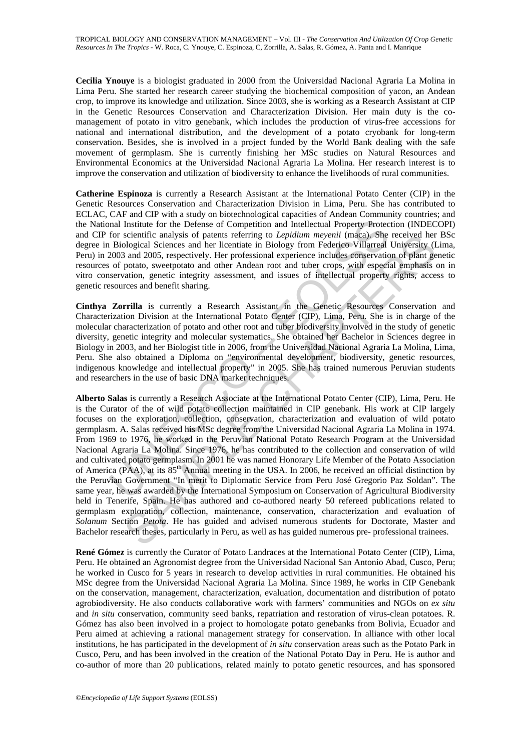**Cecilia Ynouye** is a biologist graduated in 2000 from the Universidad Nacional Agraria La Molina in Lima Peru. She started her research career studying the biochemical composition of yacon, an Andean crop, to improve its knowledge and utilization. Since 2003, she is working as a Research Assistant at CIP in the Genetic Resources Conservation and Characterization Division. Her main duty is the comanagement of potato in vitro genebank, which includes the production of virus-free accessions for national and international distribution, and the development of a potato cryobank for long-term conservation. Besides, she is involved in a project funded by the World Bank dealing with the safe movement of germplasm. She is currently finishing her MSc studies on Natural Resources and Environmental Economics at the Universidad Nacional Agraria La Molina. Her research interest is to improve the conservation and utilization of biodiversity to enhance the livelihoods of rural communities.

**Catherine Espinoza** is currently a Research Assistant at the International Potato Center (CIP) in the Genetic Resources Conservation and Characterization Division in Lima, Peru. She has contributed to ECLAC, CAF and CIP with a study on biotechnological capacities of Andean Community countries; and the National Institute for the Defense of Competition and Intellectual Property Protection (INDECOPI) and CIP for scientific analysis of patents referring to *Lepidium meyenii* (maca). She received her BSc degree in Biological Sciences and her licentiate in Biology from Federico Villarreal University (Lima, Peru) in 2003 and 2005, respectively. Her professional experience includes conservation of plant genetic resources of potato, sweetpotato and other Andean root and tuber crops, with especial emphasis on in vitro conservation, genetic integrity assessment, and issues of intellectual property rights, access to genetic resources and benefit sharing.

**Cinthya Zorrilla** is currently a Research Assistant in the Genetic Resources Conservation and Characterization Division at the International Potato Center (CIP), Lima, Peru. She is in charge of the molecular characterization of potato and other root and tuber biodiversity involved in the study of genetic diversity, genetic integrity and molecular systematics. She obtained her Bachelor in Sciences degree in Biology in 2003, and her Biologist title in 2006, from the Universidad Nacional Agraria La Molina, Lima, Peru. She also obtained a Diploma on "environmental development, biodiversity, genetic resources, indigenous knowledge and intellectual property" in 2005. She has trained numerous Peruvian students and researchers in the use of basic DNA marker techniques.

mal Institute for the Defense of Competition and Intellectual Property Protector scientific analysis of patents referring to *Lepidium mevenii* (maca). She restored to *Copidium mevenii* (maca). She is observated of potato socialite analysis of patterist entering to *Lepratian mergean* (maca). She received here exondinate and the constrained Sciences and her licentiate in Biology from Federico Villareal University (I and 2005, respectively. **Alberto Salas** is currently a Research Associate at the International Potato Center (CIP), Lima, Peru. He is the Curator of the of wild potato collection maintained in CIP genebank. His work at CIP largely focuses on the exploration, collection, conservation, characterization and evaluation of wild potato germplasm. A. Salas received his MSc degree from the Universidad Nacional Agraria La Molina in 1974. From 1969 to 1976, he worked in the Peruvian National Potato Research Program at the Universidad Nacional Agraria La Molina. Since 1976, he has contributed to the collection and conservation of wild and cultivated potato germplasm. In 2001 he was named Honorary Life Member of the Potato Association of America (PAA), at its 85<sup>th</sup> Annual meeting in the USA. In 2006, he received an official distinction by the Peruvian Government "In merit to Diplomatic Service from Peru José Gregorio Paz Soldan". The same year, he was awarded by the International Symposium on Conservation of Agricultural Biodiversity held in Tenerife, Spain. He has authored and co-authored nearly 50 refereed publications related to germplasm exploration, collection, maintenance, conservation, characterization and evaluation of *Solanum* Section *Petota*. He has guided and advised numerous students for Doctorate, Master and Bachelor research theses, particularly in Peru, as well as has guided numerous pre- professional trainees.

**René Gómez** is currently the Curator of Potato Landraces at the International Potato Center (CIP), Lima, Peru. He obtained an Agronomist degree from the Universidad Nacional San Antonio Abad, Cusco, Peru; he worked in Cusco for 5 years in research to develop activities in rural communities. He obtained his MSc degree from the Universidad Nacional Agraria La Molina. Since 1989, he works in CIP Genebank on the conservation, management, characterization, evaluation, documentation and distribution of potato agrobiodiversity. He also conducts collaborative work with farmers' communities and NGOs on *ex situ* and *in situ* conservation, community seed banks, repatriation and restoration of virus-clean potatoes. R. Gómez has also been involved in a project to homologate potato genebanks from Bolivia, Ecuador and Peru aimed at achieving a rational management strategy for conservation. In alliance with other local institutions, he has participated in the development of *in situ* conservation areas such as the Potato Park in Cusco, Peru, and has been involved in the creation of the National Potato Day in Peru. He is author and co-author of more than 20 publications, related mainly to potato genetic resources, and has sponsored